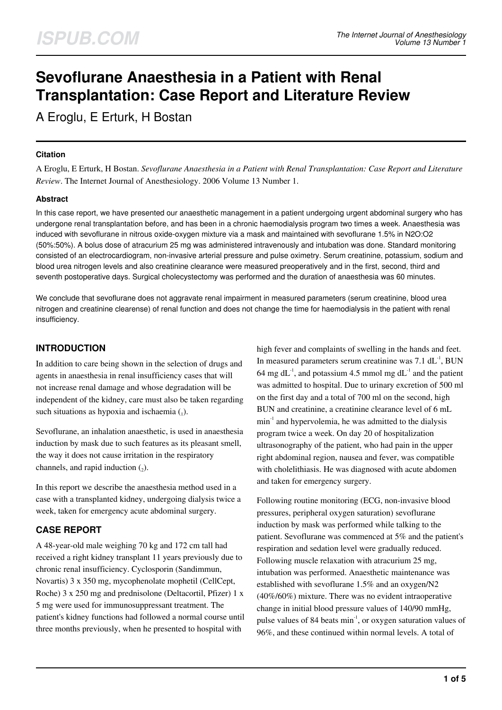# **Sevoflurane Anaesthesia in a Patient with Renal Transplantation: Case Report and Literature Review**

A Eroglu, E Erturk, H Bostan

### **Citation**

A Eroglu, E Erturk, H Bostan. *Sevoflurane Anaesthesia in a Patient with Renal Transplantation: Case Report and Literature Review*. The Internet Journal of Anesthesiology. 2006 Volume 13 Number 1.

## **Abstract**

In this case report, we have presented our anaesthetic management in a patient undergoing urgent abdominal surgery who has undergone renal transplantation before, and has been in a chronic haemodialysis program two times a week. Anaesthesia was induced with sevoflurane in nitrous oxide-oxygen mixture via a mask and maintained with sevoflurane 1.5% in N2O:O2 (50%:50%). A bolus dose of atracurium 25 mg was administered intravenously and intubation was done. Standard monitoring consisted of an electrocardiogram, non-invasive arterial pressure and pulse oximetry. Serum creatinine, potassium, sodium and blood urea nitrogen levels and also creatinine clearance were measured preoperatively and in the first, second, third and seventh postoperative days. Surgical cholecystectomy was performed and the duration of anaesthesia was 60 minutes.

We conclude that sevoflurane does not aggravate renal impairment in measured parameters (serum creatinine, blood urea nitrogen and creatinine clearense) of renal function and does not change the time for haemodialysis in the patient with renal insufficiency.

# **INTRODUCTION**

In addition to care being shown in the selection of drugs and agents in anaesthesia in renal insufficiency cases that will not increase renal damage and whose degradation will be independent of the kidney, care must also be taken regarding such situations as hypoxia and ischaemia  $\mathcal{L}_1$ ).

Sevoflurane, an inhalation anaesthetic, is used in anaesthesia induction by mask due to such features as its pleasant smell, the way it does not cause irritation in the respiratory channels, and rapid induction  $(_{2})$ .

In this report we describe the anaesthesia method used in a case with a transplanted kidney, undergoing dialysis twice a week, taken for emergency acute abdominal surgery.

# **CASE REPORT**

A 48-year-old male weighing 70 kg and 172 cm tall had received a right kidney transplant 11 years previously due to chronic renal insufficiency. Cyclosporin (Sandimmun, Novartis) 3 x 350 mg, mycophenolate mophetil (CellCept, Roche) 3 x 250 mg and prednisolone (Deltacortil, Pfizer) 1 x 5 mg were used for immunosuppressant treatment. The patient's kidney functions had followed a normal course until three months previously, when he presented to hospital with

high fever and complaints of swelling in the hands and feet. In measured parameters serum creatinine was  $7.1$  dL<sup>-1</sup>, BUN 64 mg dL<sup>-1</sup>, and potassium 4.5 mmol mg dL<sup>-1</sup> and the patient was admitted to hospital. Due to urinary excretion of 500 ml on the first day and a total of 700 ml on the second, high BUN and creatinine, a creatinine clearance level of 6 mL  $min<sup>-1</sup>$  and hypervolemia, he was admitted to the dialysis program twice a week. On day 20 of hospitalization ultrasonography of the patient, who had pain in the upper right abdominal region, nausea and fever, was compatible with cholelithiasis. He was diagnosed with acute abdomen and taken for emergency surgery.

Following routine monitoring (ECG, non-invasive blood pressures, peripheral oxygen saturation) sevoflurane induction by mask was performed while talking to the patient. Sevoflurane was commenced at 5% and the patient's respiration and sedation level were gradually reduced. Following muscle relaxation with atracurium 25 mg, intubation was performed. Anaesthetic maintenance was established with sevoflurane 1.5% and an oxygen/N2 (40%/60%) mixture. There was no evident intraoperative change in initial blood pressure values of 140/90 mmHg, pulse values of 84 beats  $min^{-1}$ , or oxygen saturation values of 96%, and these continued within normal levels. A total of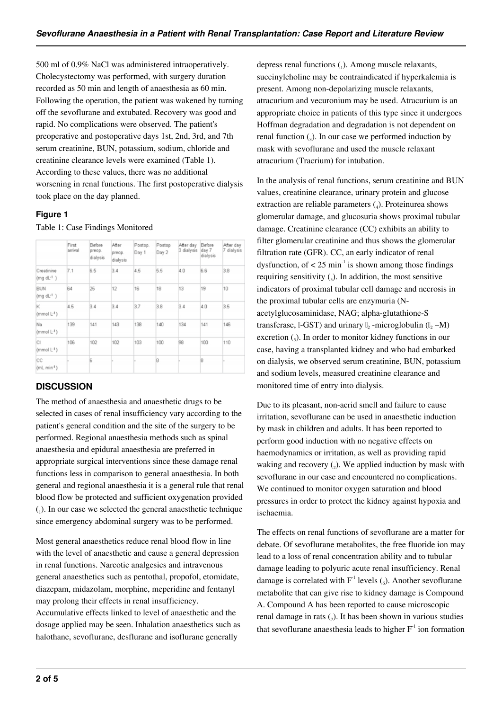500 ml of 0.9% NaCl was administered intraoperatively. Cholecystectomy was performed, with surgery duration recorded as 50 min and length of anaesthesia as 60 min. Following the operation, the patient was wakened by turning off the sevoflurane and extubated. Recovery was good and rapid. No complications were observed. The patient's preoperative and postoperative days 1st, 2nd, 3rd, and 7th serum creatinine, BUN, potassium, sodium, chloride and creatinine clearance levels were examined (Table 1). According to these values, there was no additional worsening in renal functions. The first postoperative dialysis took place on the day planned.

## **Figure 1**

#### Table 1: Case Findings Monitored

|                                     | First<br>arrival | Before<br>preop.<br>dialysis | After<br>preop.<br>dialysis | Postop.<br>Day 1 | Postop<br>Day 2 | After day<br>3 dialysis | Before<br>day 7<br>dialysis | After day<br>7 dialysis |
|-------------------------------------|------------------|------------------------------|-----------------------------|------------------|-----------------|-------------------------|-----------------------------|-------------------------|
| Creatinine<br>(mq dL <sup>1</sup> ) | 7.1              | 6.5                          | 3.4                         | 4.5              | 5.5             | 4.0                     | 6.6                         | 3.8                     |
| <b>BUN</b><br>$(mg dL^{-1})$        | 64               | 25                           | 12                          | 16               | 18              | 13                      | 19                          | 10                      |
| ĸ<br>$(mmol L-1)$                   | 4.5              | 3.4                          | 3.4                         | 3.7              | 3.8             | 3.4                     | 4.0                         | 3.5                     |
| Na<br>$(mmol L-1)$                  | 139              | 141                          | 143                         | 138              | 140             | 134                     | 141                         | 146                     |
| IсI<br>(mmol $L$ <sup>-1</sup> )    | 106              | 102                          | 102                         | 103              | 100             | 98                      | 100                         | 110                     |
| <b>CC</b><br>$(mL min-1)$           |                  | <b>B</b>                     |                             |                  | B               |                         | B                           |                         |

# **DISCUSSION**

The method of anaesthesia and anaesthetic drugs to be selected in cases of renal insufficiency vary according to the patient's general condition and the site of the surgery to be performed. Regional anaesthesia methods such as spinal anaesthesia and epidural anaesthesia are preferred in appropriate surgical interventions since these damage renal functions less in comparison to general anaesthesia. In both general and regional anaesthesia it is a general rule that renal blood flow be protected and sufficient oxygenation provided (1 ). In our case we selected the general anaesthetic technique since emergency abdominal surgery was to be performed.

Most general anaesthetics reduce renal blood flow in line with the level of anaesthetic and cause a general depression in renal functions. Narcotic analgesics and intravenous general anaesthetics such as pentothal, propofol, etomidate, diazepam, midazolam, morphine, meperidine and fentanyl may prolong their effects in renal insufficiency. Accumulative effects linked to level of anaesthetic and the

dosage applied may be seen. Inhalation anaesthetics such as halothane, sevoflurane, desflurane and isoflurane generally

depress renal functions  $(_1)$ . Among muscle relaxants, succinylcholine may be contraindicated if hyperkalemia is present. Among non-depolarizing muscle relaxants, atracurium and vecuronium may be used. Atracurium is an appropriate choice in patients of this type since it undergoes Hoffman degradation and degradation is not dependent on renal function  $\left( \frac{1}{3} \right)$ . In our case we performed induction by mask with sevoflurane and used the muscle relaxant atracurium (Tracrium) for intubation.

In the analysis of renal functions, serum creatinine and BUN values, creatinine clearance, urinary protein and glucose extraction are reliable parameters  $(_4)$ . Proteinurea shows glomerular damage, and glucosuria shows proximal tubular damage. Creatinine clearance (CC) exhibits an ability to filter glomerular creatinine and thus shows the glomerular filtration rate (GFR). CC, an early indicator of renal dysfunction, of  $\lt 25$  min<sup>-1</sup> is shown among those findings requiring sensitivity  $\binom{1}{5}$ . In addition, the most sensitive indicators of proximal tubular cell damage and necrosis in the proximal tubular cells are enzymuria (Nacetylglucosaminidase, NAG; alpha-glutathione-S transferase,  $\text{I-GST}$ ) and urinary  $\text{I}_2$ -microglobulin ( $\text{I}_2$ -M) excretion  $\binom{1}{5}$ . In order to monitor kidney functions in our case, having a transplanted kidney and who had embarked on dialysis, we observed serum creatinine, BUN, potassium and sodium levels, measured creatinine clearance and monitored time of entry into dialysis.

Due to its pleasant, non-acrid smell and failure to cause irritation, sevoflurane can be used in anaesthetic induction by mask in children and adults. It has been reported to perform good induction with no negative effects on haemodynamics or irritation, as well as providing rapid waking and recovery  $(_{2})$ . We applied induction by mask with sevoflurane in our case and encountered no complications. We continued to monitor oxygen saturation and blood pressures in order to protect the kidney against hypoxia and ischaemia.

The effects on renal functions of sevoflurane are a matter for debate. Of sevoflurane metabolites, the free fluoride ion may lead to a loss of renal concentration ability and to tubular damage leading to polyuric acute renal insufficiency. Renal damage is correlated with  $F^1$  levels  $(_6)$ . Another sevoflurane metabolite that can give rise to kidney damage is Compound A. Compound A has been reported to cause microscopic renal damage in rats  $(7)$ . It has been shown in various studies that sevoflurane anaesthesia leads to higher  $F<sup>-1</sup>$  ion formation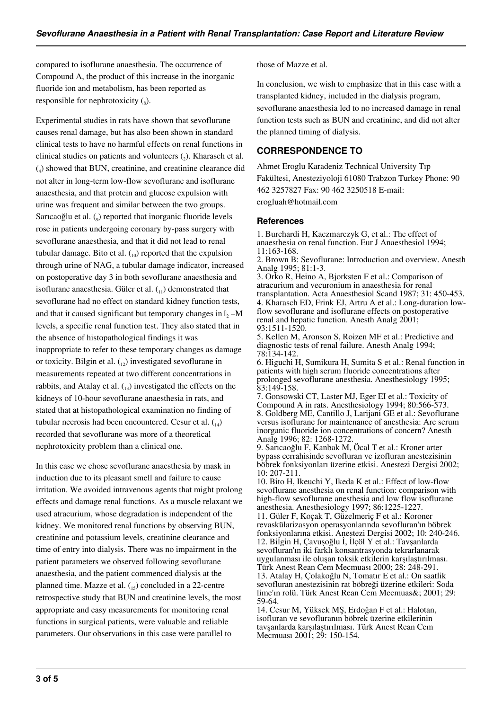compared to isoflurane anaesthesia. The occurrence of Compound A, the product of this increase in the inorganic fluoride ion and metabolism, has been reported as responsible for nephrotoxicity  $\binom{8}{8}$ .

Experimental studies in rats have shown that sevoflurane causes renal damage, but has also been shown in standard clinical tests to have no harmful effects on renal functions in clinical studies on patients and volunteers  $(_{2})$ . Kharasch et al. (4 ) showed that BUN, creatinine, and creatinine clearance did not alter in long-term low-flow sevoflurane and isoflurane anaesthesia, and that protein and glucose expulsion with urine was frequent and similar between the two groups. Sarıcaoğlu et al. (9) reported that inorganic fluoride levels rose in patients undergoing coronary by-pass surgery with sevoflurane anaesthesia, and that it did not lead to renal tubular damage. Bito et al.  $_{(10)}$  reported that the expulsion through urine of NAG, a tubular damage indicator, increased on postoperative day 3 in both sevoflurane anaesthesia and isoflurane anaesthesia. Güler et al.  $\binom{n}{1}$  demonstrated that sevoflurane had no effect on standard kidney function tests, and that it caused significant but temporary changes in  $\mathbb{I}_2$  –M levels, a specific renal function test. They also stated that in the absence of histopathological findings it was inappropriate to refer to these temporary changes as damage or toxicity. Bilgin et al.  $_{12}$ ) investigated sevoflurane in measurements repeated at two different concentrations in rabbits, and Atalay et al.  $\binom{n}{1}$  investigated the effects on the kidneys of 10-hour sevoflurane anaesthesia in rats, and stated that at histopathological examination no finding of tubular necrosis had been encountered. Cesur et al.  $_{(14)}$ recorded that sevoflurane was more of a theoretical nephrotoxicity problem than a clinical one.

In this case we chose sevoflurane anaesthesia by mask in induction due to its pleasant smell and failure to cause irritation. We avoided intravenous agents that might prolong effects and damage renal functions. As a muscle relaxant we used atracurium, whose degradation is independent of the kidney. We monitored renal functions by observing BUN, creatinine and potassium levels, creatinine clearance and time of entry into dialysis. There was no impairment in the patient parameters we observed following sevoflurane anaesthesia, and the patient commenced dialysis at the planned time. Mazze et al.  $_{(15)}$  concluded in a 22-centre retrospective study that BUN and creatinine levels, the most appropriate and easy measurements for monitoring renal functions in surgical patients, were valuable and reliable parameters. Our observations in this case were parallel to

those of Mazze et al.

In conclusion, we wish to emphasize that in this case with a transplanted kidney, included in the dialysis program, sevoflurane anaesthesia led to no increased damage in renal function tests such as BUN and creatinine, and did not alter the planned timing of dialysis.

# **CORRESPONDENCE TO**

Ahmet Eroglu Karadeniz Technical University Tıp Fakültesi, Anesteziyoloji 61080 Trabzon Turkey Phone: 90 462 3257827 Fax: 90 462 3250518 E-mail: erogluah@hotmail.com

### **References**

1. Burchardi H, Kaczmarczyk G, et al.: The effect of anaesthesia on renal function. Eur J Anaesthesiol 1994; 11:163-168.

2. Brown B: Sevoflurane: Introduction and overview. Anesth Analg 1995; 81:1-3.

3. Orko R, Heino A, Bjorksten F et al.: Comparison of atracurium and vecuronium in anaesthesia for renal transplantation. Acta Anaesthesiol Scand 1987; 31: 450-453. 4. Kharasch ED, Frink EJ, Artru A et al.: Long-duration lowflow sevoflurane and isoflurane effects on postoperative renal and hepatic function. Anesth Analg 2001; 93:1511-1520.

5. Kellen M, Aronson S, Roizen MF et al.: Predictive and diagnostic tests of renal failure. Anesth Analg 1994; 78:134-142.

6. Higuchi H, Sumikura H, Sumita S et al.: Renal function in patients with high serum fluoride concentrations after prolonged sevoflurane anesthesia. Anesthesiology 1995;  $83:149-158$ .

7. Gonsowski CT, Laster MJ, Eger EI et al.: Toxicity of Compound A in rats. Anesthesiology 1994; 80:566-573. 8. Goldberg ME, Cantillo J, Larijani GE et al.: Sevoflurane versus isoflurane for maintenance of anesthesia: Are serum inorganic fluoride ion concentrations of concern? Anesth Analg 1996; 82: 1268-1272.

9. Sarıcaoğlu F, Kanbak M, Öcal T et al.: Kroner arter bypass cerrahisinde sevofluran ve izofluran anestezisinin böbrek fonksiyonları üzerine etkisi. Anestezi Dergisi 2002; 10: 207-211.

10. Bito H, Ikeuchi Y, Ikeda K et al.: Effect of low-flow sevoflurane anesthesia on renal function: comparison with high-flow sevoflurane anesthesia and low flow isoflurane anesthesia. Anesthesiology 1997; 86:1225-1227.

11. Güler F, Koçak T, Güzelmeriç F et al.: Koroner revaskülarizasyon operasyonlarında sevofluran'ın böbrek fonksiyonlarına etkisi. Anestezi Dergisi 2002; 10: 240-246. 12. Bilgin H, Çavuşoğlu İ, İlçöl Y et al.: Tavşanlarda sevofluran'ın iki farklı konsantrasyonda tekrarlanarak uygulanması ile oluşan toksik etkilerin karşılaştırılması. Türk Anest Rean Cem Mecmuası 2000; 28: 248-291. 13. Atalay H, Çolakoğlu N, Tomatır E et al.: On saatlik sevofluran anestezisinin rat böbreği üzerine etkileri: Soda lime'ın rolü. Türk Anest Rean Cem Mecmuas&; 2001; 29: 59-64.

14. Cesur M, Yüksek MŞ, Erdoğan F et al.: Halotan, isofluran ve sevofluranın böbrek üzerine etkilerinin tavşanlarda karşılaştırılması. Türk Anest Rean Cem Mecmuası 2001; 29: 150-154.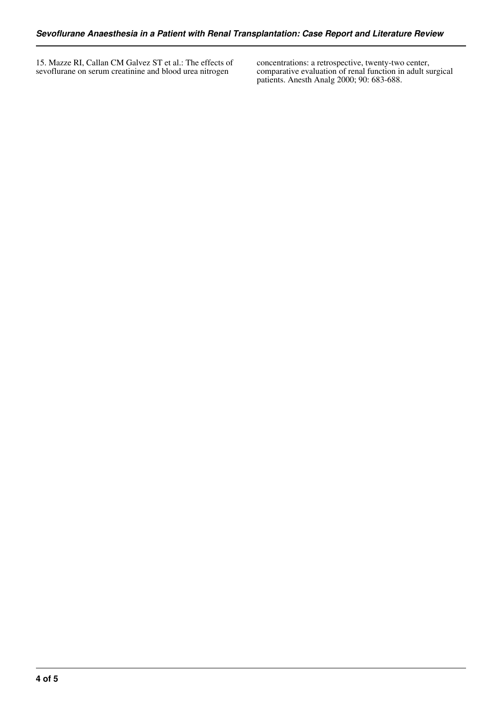15. Mazze RI, Callan CM Galvez ST et al.: The effects of sevoflurane on serum creatinine and blood urea nitrogen

concentrations: a retrospective, twenty-two center, comparative evaluation of renal function in adult surgical patients. Anesth Analg 2000; 90: 683-688.